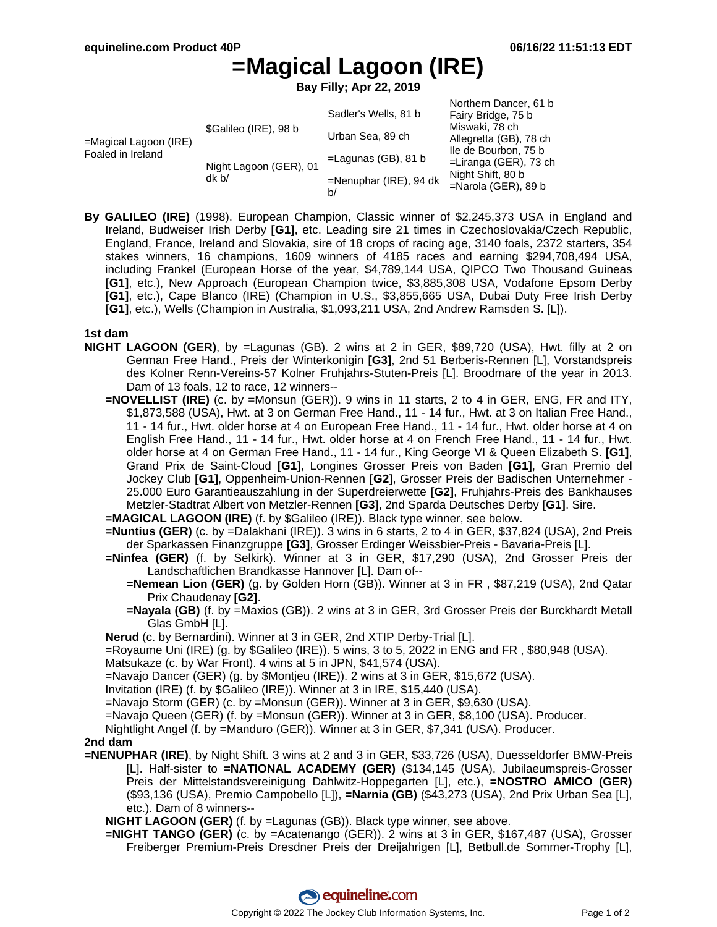Northern Dancer, 61 b

# **=Magical Lagoon (IRE)**

**Bay Filly; Apr 22, 2019**

| $=$ Magical Lagoon (IRE)<br>Foaled in Ireland | \$Galileo (IRE), 98 b           | Sadler's Wells, 81 b            | <b>NOILIEIII DAIICEI, OI D</b><br>Fairy Bridge, 75 b                                                                                        |
|-----------------------------------------------|---------------------------------|---------------------------------|---------------------------------------------------------------------------------------------------------------------------------------------|
|                                               |                                 | Urban Sea, 89 ch                | Miswaki, 78 ch<br>Allegretta (GB), 78 ch<br>Ile de Bourbon, 75 b<br>$=$ Liranga (GER), 73 ch<br>Night Shift, 80 b<br>$=$ Narola (GER), 89 b |
|                                               | Night Lagoon (GER), 01<br>dk b/ | $=$ Lagunas (GB), 81 b          |                                                                                                                                             |
|                                               |                                 | $=$ Nenuphar (IRE), 94 dk<br>b/ |                                                                                                                                             |

**By GALILEO (IRE)** (1998). European Champion, Classic winner of \$2,245,373 USA in England and Ireland, Budweiser Irish Derby **[G1]**, etc. Leading sire 21 times in Czechoslovakia/Czech Republic, England, France, Ireland and Slovakia, sire of 18 crops of racing age, 3140 foals, 2372 starters, 354 stakes winners, 16 champions, 1609 winners of 4185 races and earning \$294,708,494 USA, including Frankel (European Horse of the year, \$4,789,144 USA, QIPCO Two Thousand Guineas **[G1]**, etc.), New Approach (European Champion twice, \$3,885,308 USA, Vodafone Epsom Derby **[G1]**, etc.), Cape Blanco (IRE) (Champion in U.S., \$3,855,665 USA, Dubai Duty Free Irish Derby **[G1]**, etc.), Wells (Champion in Australia, \$1,093,211 USA, 2nd Andrew Ramsden S. [L]).

## **1st dam**

- **NIGHT LAGOON (GER)**, by =Lagunas (GB). 2 wins at 2 in GER, \$89,720 (USA), Hwt. filly at 2 on German Free Hand., Preis der Winterkonigin **[G3]**, 2nd 51 Berberis-Rennen [L], Vorstandspreis des Kolner Renn-Vereins-57 Kolner Fruhjahrs-Stuten-Preis [L]. Broodmare of the year in 2013. Dam of 13 foals, 12 to race, 12 winners--
	- **=NOVELLIST (IRE)** (c. by =Monsun (GER)). 9 wins in 11 starts, 2 to 4 in GER, ENG, FR and ITY, \$1,873,588 (USA), Hwt. at 3 on German Free Hand., 11 - 14 fur., Hwt. at 3 on Italian Free Hand., 11 - 14 fur., Hwt. older horse at 4 on European Free Hand., 11 - 14 fur., Hwt. older horse at 4 on English Free Hand., 11 - 14 fur., Hwt. older horse at 4 on French Free Hand., 11 - 14 fur., Hwt. older horse at 4 on German Free Hand., 11 - 14 fur., King George VI & Queen Elizabeth S. **[G1]**, Grand Prix de Saint-Cloud **[G1]**, Longines Grosser Preis von Baden **[G1]**, Gran Premio del Jockey Club **[G1]**, Oppenheim-Union-Rennen **[G2]**, Grosser Preis der Badischen Unternehmer - 25.000 Euro Garantieauszahlung in der Superdreierwette **[G2]**, Fruhjahrs-Preis des Bankhauses Metzler-Stadtrat Albert von Metzler-Rennen **[G3]**, 2nd Sparda Deutsches Derby **[G1]**. Sire.
	- **=MAGICAL LAGOON (IRE)** (f. by \$Galileo (IRE)). Black type winner, see below.
	- **=Nuntius (GER)** (c. by =Dalakhani (IRE)). 3 wins in 6 starts, 2 to 4 in GER, \$37,824 (USA), 2nd Preis der Sparkassen Finanzgruppe **[G3]**, Grosser Erdinger Weissbier-Preis - Bavaria-Preis [L].
	- **=Ninfea (GER)** (f. by Selkirk). Winner at 3 in GER, \$17,290 (USA), 2nd Grosser Preis der Landschaftlichen Brandkasse Hannover [L]. Dam of--
		- **=Nemean Lion (GER)** (g. by Golden Horn (GB)). Winner at 3 in FR , \$87,219 (USA), 2nd Qatar Prix Chaudenay **[G2]**.
		- **=Nayala (GB)** (f. by =Maxios (GB)). 2 wins at 3 in GER, 3rd Grosser Preis der Burckhardt Metall Glas GmbH [L].
	- **Nerud** (c. by Bernardini). Winner at 3 in GER, 2nd XTIP Derby-Trial [L].
	- =Royaume Uni (IRE) (g. by \$Galileo (IRE)). 5 wins, 3 to 5, 2022 in ENG and FR , \$80,948 (USA).
	- Matsukaze (c. by War Front). 4 wins at 5 in JPN, \$41,574 (USA).
	- =Navajo Dancer (GER) (g. by \$Montjeu (IRE)). 2 wins at 3 in GER, \$15,672 (USA).
	- Invitation (IRE) (f. by \$Galileo (IRE)). Winner at 3 in IRE, \$15,440 (USA).
	- =Navajo Storm (GER) (c. by =Monsun (GER)). Winner at 3 in GER, \$9,630 (USA).
	- =Navajo Queen (GER) (f. by =Monsun (GER)). Winner at 3 in GER, \$8,100 (USA). Producer.

Nightlight Angel (f. by =Manduro (GER)). Winner at 3 in GER, \$7,341 (USA). Producer.

### **2nd dam**

**=NENUPHAR (IRE)**, by Night Shift. 3 wins at 2 and 3 in GER, \$33,726 (USA), Duesseldorfer BMW-Preis [L]. Half-sister to **=NATIONAL ACADEMY (GER)** (\$134,145 (USA), Jubilaeumspreis-Grosser Preis der Mittelstandsvereinigung Dahlwitz-Hoppegarten [L], etc.), **=NOSTRO AMICO (GER)** (\$93,136 (USA), Premio Campobello [L]), **=Narnia (GB)** (\$43,273 (USA), 2nd Prix Urban Sea [L], etc.). Dam of 8 winners--

**NIGHT LAGOON (GER)** (f. by =Lagunas (GB)). Black type winner, see above.

**=NIGHT TANGO (GER)** (c. by =Acatenango (GER)). 2 wins at 3 in GER, \$167,487 (USA), Grosser Freiberger Premium-Preis Dresdner Preis der Dreijahrigen [L], Betbull.de Sommer-Trophy [L],